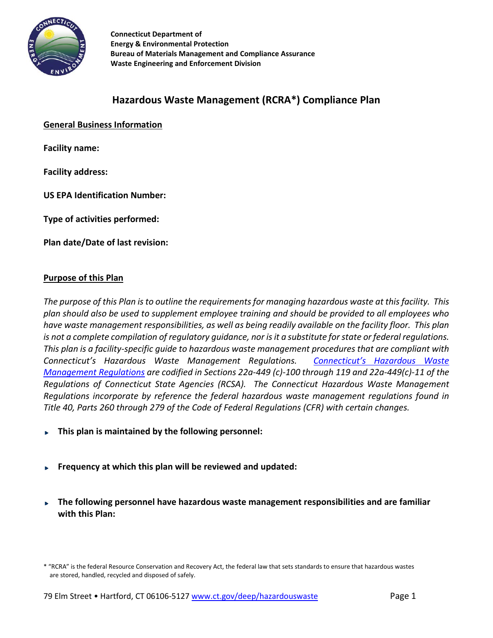

 **Connecticut Department of Energy & Environmental Protection Bureau of Materials Management and Compliance Assurance Waste Engineering and Enforcement Division**

# **Hazardous Waste Management (RCRA\*) Compliance Plan**

**General Business Information**

**Facility name:**

**Facility address:** 

**US EPA Identification Number:** 

**Type of activities performed:** 

**Plan date/Date of last revision:** 

#### **Purpose of this Plan**

*The purpose of this Plan is to outline the requirements for managing hazardous waste at this facility. This plan should also be used to supplement employee training and should be provided to all employees who have waste management responsibilities, as well as being readily available on the facility floor. This plan is not a complete compilation of regulatory guidance, nor is it a substitute for state or federal regulations. This plan is a facility-specific guide to hazardous waste management procedures that are compliant with Connecticut's Hazardous Waste Management Regulations. [Connecticut's Hazardous Waste](http://www.ct.gov/deep/cwp/view.asp?a=2718&q=325436&depNav_GID=1646)  [Management Regulations](http://www.ct.gov/deep/cwp/view.asp?a=2718&q=325436&depNav_GID=1646) are codified in Sections 22a-449 (c)-100 through 119 and 22a-449(c)-11 of the Regulations of Connecticut State Agencies (RCSA). The Connecticut Hazardous Waste Management Regulations incorporate by reference the federal hazardous waste management regulations found in Title 40, Parts 260 through 279 of the Code of Federal Regulations (CFR) with certain changes.*

- **This plan is maintained by the following personnel:**
- **Frequency at which this plan will be reviewed and updated:**
- **The following personnel have hazardous waste management responsibilities and are familiar with this Plan:**

<sup>\* &</sup>quot;RCRA" is the federal Resource Conservation and Recovery Act, the federal law that sets standards to ensure that hazardous wastes are stored, handled, recycled and disposed of safely.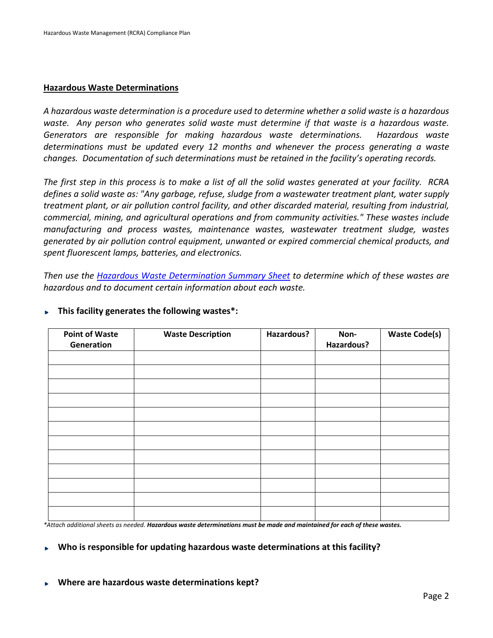#### **Hazardous Waste Determinations**

*A hazardous waste determination is a procedure used to determine whether a solid waste is a hazardous waste. Any person who generates solid waste must determine if that waste is a hazardous waste. Generators are responsible for making hazardous waste determinations. Hazardous waste determinations must be updated every 12 months and whenever the process generating a waste changes. Documentation of such determinations must be retained in the facility's operating records.*

*The first step in this process is to make a list of all the solid wastes generated at your facility. RCRA defines a solid waste as: "Any garbage, refuse, sludge from a wastewater treatment plant, water supply treatment plant, or air pollution control facility, and other discarded material, resulting from industrial, commercial, mining, and agricultural operations and from community activities." These wastes include manufacturing and process wastes, maintenance wastes, wastewater treatment sludge, wastes generated by air pollution control equipment, unwanted or expired commercial chemical products, and spent fluorescent lamps, batteries, and electronics.*

*Then use the [Hazardous Waste Determination Summary Sheet](http://www.ct.gov/deep/lib/deep/waste_management_and_disposal/hazardous_waste/hazardouswastedeterminationsummarysheet.pdf) to determine which of these wastes are hazardous and to document certain information about each waste.*

| <b>Point of Waste</b><br>Generation | <b>Waste Description</b> | Hazardous? | Non-<br>Hazardous? | <b>Waste Code(s)</b> |
|-------------------------------------|--------------------------|------------|--------------------|----------------------|
|                                     |                          |            |                    |                      |
|                                     |                          |            |                    |                      |
|                                     |                          |            |                    |                      |
|                                     |                          |            |                    |                      |
|                                     |                          |            |                    |                      |
|                                     |                          |            |                    |                      |
|                                     |                          |            |                    |                      |
|                                     |                          |            |                    |                      |
|                                     |                          |            |                    |                      |
|                                     |                          |            |                    |                      |
|                                     |                          |            |                    |                      |
|                                     |                          |            |                    |                      |

#### **This facility generates the following wastes\*:**

*\*Attach additional sheets as needed. Hazardous waste determinations must be made and maintained for each of these wastes.*

### **Who is responsible for updating hazardous waste determinations at this facility?**

**Where are hazardous waste determinations kept?**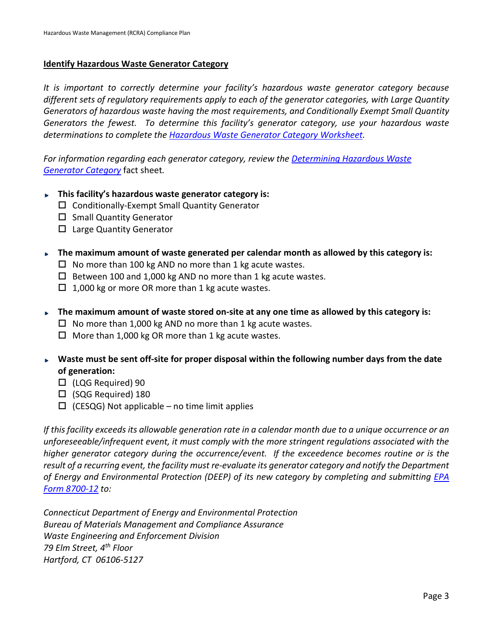### **Identify Hazardous Waste Generator Category**

*It is important to correctly determine your facility's hazardous waste generator category because different sets of regulatory requirements apply to each of the generator categories, with Large Quantity Generators of hazardous waste having the most requirements, and Conditionally Exempt Small Quantity Generators the fewest. To determine this facility's generator category, use your hazardous waste determinations to complete the [Hazardous Waste Generator Category Worksheet.](http://www.ct.gov/deep/lib/deep/waste_management_and_disposal/hazardous_waste/hazardouswastegeneratorcategoryworksheet.pdf)* 

*For information regarding each generator category, review the [Determining Hazardous Waste](http://www.ct.gov/deep/cwp/view.asp?a=2718&q=325418&deepNav_GID=1646)  [Generator Category](http://www.ct.gov/deep/cwp/view.asp?a=2718&q=325418&deepNav_GID=1646)* fact sheet*.*

- **This facility's hazardous waste generator category is:** 
	- $\Box$  Conditionally-Exempt Small Quantity Generator
	- $\square$  Small Quantity Generator
	- $\Box$  Large Quantity Generator
- **The maximum amount of waste generated per calendar month as allowed by this category is:** 
	- $\Box$  No more than 100 kg AND no more than 1 kg acute wastes.
	- $\Box$  Between 100 and 1,000 kg AND no more than 1 kg acute wastes.
	- $\Box$  1,000 kg or more OR more than 1 kg acute wastes.
- **The maximum amount of waste stored on-site at any one time as allowed by this category is:** 
	- $\Box$  No more than 1,000 kg AND no more than 1 kg acute wastes.
	- $\Box$  More than 1,000 kg OR more than 1 kg acute wastes.
- **Waste must be sent off-site for proper disposal within the following number days from the date of generation:**
	- (LQG Required) 90
	- (SQG Required) 180
	- $\Box$  (CESQG) Not applicable no time limit applies

*If this facility exceeds its allowable generation rate in a calendar month due to a unique occurrence or an unforeseeable/infrequent event, it must comply with the more stringent regulations associated with the higher generator category during the occurrence/event. If the exceedence becomes routine or is the result of a recurring event, the facility must re-evaluate its generator category and notify the Department of Energy and Environmental Protection (DEEP) of its new category by completing and submitting [EPA](http://www.epa.gov/wastes/inforesources/data/form8700/8700-12.pdf)  [Form 8700-12](http://www.epa.gov/wastes/inforesources/data/form8700/8700-12.pdf) to:*

*Connecticut Department of Energy and Environmental Protection Bureau of Materials Management and Compliance Assurance Waste Engineering and Enforcement Division 79 Elm Street, 4th Floor Hartford, CT 06106-5127*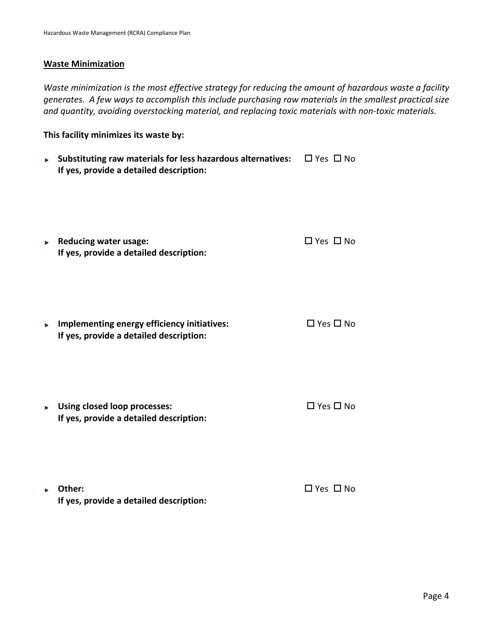#### **Waste Minimization**

*Waste minimization is the most effective strategy for reducing the amount of hazardous waste a facility generates. A few ways to accomplish this include purchasing raw materials in the smallest practical size and quantity, avoiding overstocking material, and replacing toxic materials with non-toxic materials.*

**This facility minimizes its waste by:** 

- **Substituting raw materials for less hazardous alternatives:**  $\Box$  Yes  $\Box$  No **If yes, provide a detailed description:**
- ▶ Reducing water usage:  $□$  Yes  $□$  No **If yes, provide a detailed description:**
- ▶ Implementing energy efficiency initiatives:  $\square$  Yes  $\square$  No **If yes, provide a detailed description:**
- ► Using closed loop processes:  $\square$  Yes  $\square$  No **If yes, provide a detailed description:**
- **Different Contract Contract Contract Contract Contract Contract Contract Contract Contract Contract Contract Contract Contract Contract Contract Contract Contract Contract Contract Contract Contract Contract Contract Con If yes, provide a detailed description:**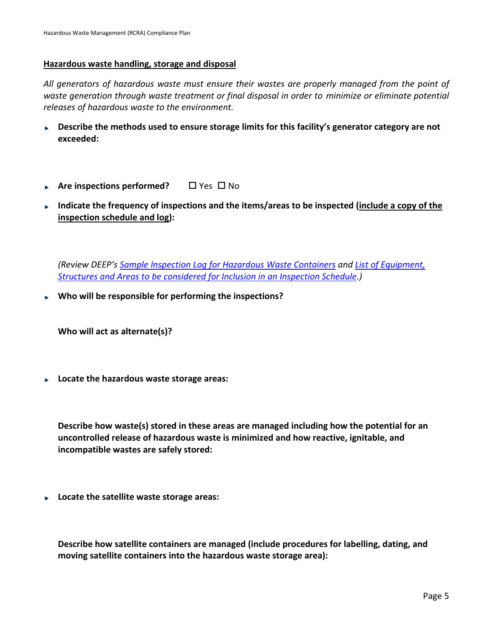### **Hazardous waste handling, storage and disposal**

*All generators of hazardous waste must ensure their wastes are properly managed from the point of waste generation through waste treatment or final disposal in order to minimize or eliminate potential releases of hazardous waste to the environment.*

- **Describe the methods used to ensure storage limits for this facility's generator category are not**  be a **exceeded:**
- ▶ Are inspections performed? □ Yes □ No
- **Indicate the frequency of inspections and the items/areas to be inspected (include a copy of the inspection schedule and log):**

*(Review DEEP'[s Sample Inspection Log for Hazardous Waste Containers](http://www.ct.gov/deep/lib/deep/waste_management_and_disposal/hazardous_waste/hazardwasteinspectionlog.pdf) and [List of Equipment,](http://www.ct.gov/deep/lib/deep/waste_management_and_disposal/hazardous_waste/hazardwasteinspectionchecklist.pdf)  [Structures and Areas to be considered for Inclusion in an Inspection Schedule.](http://www.ct.gov/deep/lib/deep/waste_management_and_disposal/hazardous_waste/hazardwasteinspectionchecklist.pdf))*

**Who will be responsible for performing the inspections?**

**Who will act as alternate(s)?** 

**Locate the hazardous waste storage areas:** 

**Describe how waste(s) stored in these areas are managed including how the potential for an uncontrolled release of hazardous waste is minimized and how reactive, ignitable, and incompatible wastes are safely stored:** 

**Locate the satellite waste storage areas:** 

**Describe how satellite containers are managed (include procedures for labelling, dating, and moving satellite containers into the hazardous waste storage area):**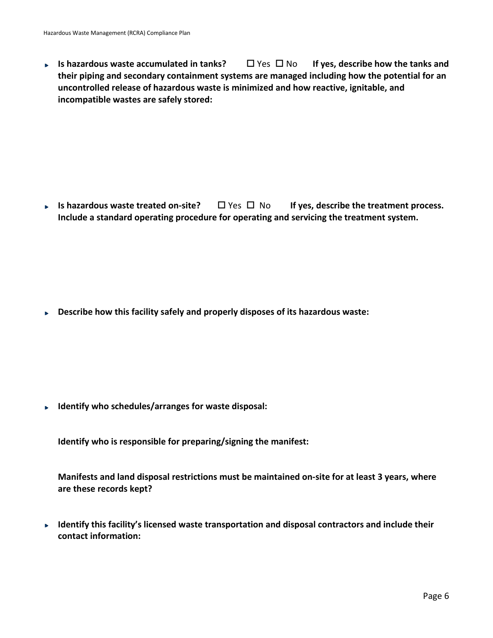**Is hazardous waste accumulated in tanks?** □ Yes □ No If yes, describe how the tanks and  $\mathbf{b}$ **their piping and secondary containment systems are managed including how the potential for an uncontrolled release of hazardous waste is minimized and how reactive, ignitable, and incompatible wastes are safely stored:** 

**■ Is hazardous waste treated on-site?**  $\Box$  Yes  $\Box$  No If yes, describe the treatment process. **Include a standard operating procedure for operating and servicing the treatment system.**

**Describe how this facility safely and properly disposes of its hazardous waste: Book** 

**Identify who schedules/arranges for waste disposal:**

**Identify who is responsible for preparing/signing the manifest:**

**Manifests and land disposal restrictions must be maintained on-site for at least 3 years, where are these records kept?**

► Identify this facility's licensed waste transportation and disposal contractors and include their **contact information:**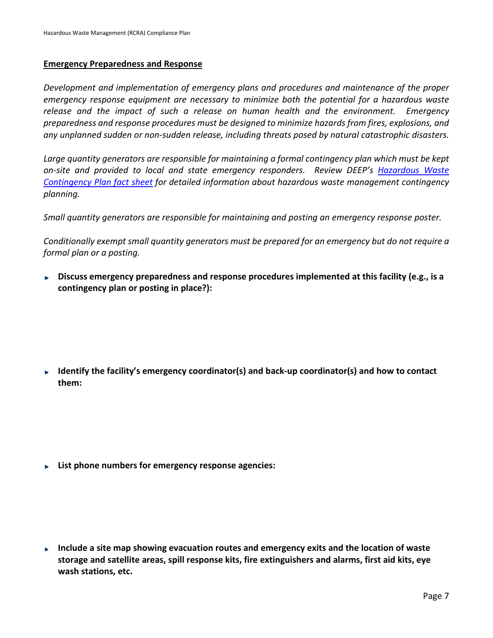#### **Emergency Preparedness and Response**

*Development and implementation of emergency plans and procedures and maintenance of the proper emergency response equipment are necessary to minimize both the potential for a hazardous waste release and the impact of such a release on human health and the environment. Emergency preparedness and response procedures must be designed to minimize hazards from fires, explosions, and any unplanned sudden or non-sudden release, including threats posed by natural catastrophic disasters.*

*Large quantity generators are responsible for maintaining a formal contingency plan which must be kept on-site and provided to local and state emergency responders. Review DEEP's [Hazardous](http://www.ct.gov/deep/cwp/view.asp?a=2718&q=325416&deepNav_GID=1967) Waste [Contingency Plan fact sheet](http://www.ct.gov/deep/cwp/view.asp?a=2718&q=325416&deepNav_GID=1967) for detailed information about hazardous waste management contingency planning.*

*Small quantity generators are responsible for maintaining and posting an emergency response poster.*

*Conditionally exempt small quantity generators must be prepared for an emergency but do not require a formal plan or a posting.*

**Discuss emergency preparedness and response procedures implemented at this facility (e.g., is a contingency plan or posting in place?):**

**Identify the facility's emergency coordinator(s) and back-up coordinator(s) and how to contact them:**

**List phone numbers for emergency response agencies:** 

**Include a site map showing evacuation routes and emergency exits and the location of waste storage and satellite areas, spill response kits, fire extinguishers and alarms, first aid kits, eye wash stations, etc.**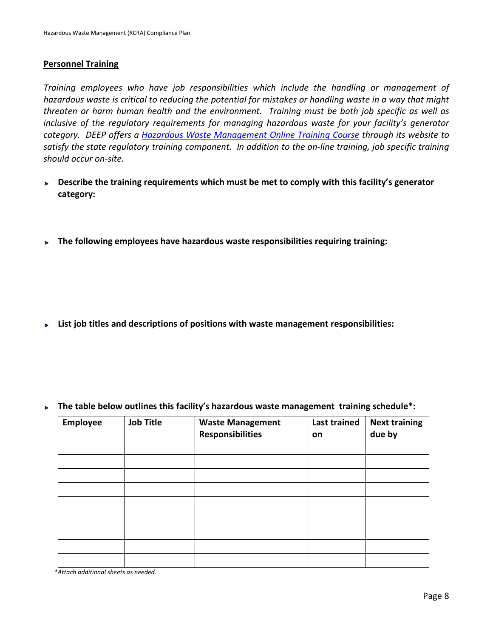### **Personnel Training**

*Training employees who have job responsibilities which include the handling or management of hazardous waste is critical to reducing the potential for mistakes or handling waste in a way that might threaten or harm human health and the environment. Training must be both job specific as well as inclusive of the regulatory requirements for managing hazardous waste for your facility's generator category. DEEP offers a [Hazardous Waste Management Online Training Course](http://www.ct.gov/deep/cwp/view.asp?a=2689&q=481076&Nav_GID=1967) through its website to satisfy the state regulatory training component. In addition to the on-line training, job specific training should occur on-site.*

- ► Describe the training requirements which must be met to comply with this facility's generator **category:**
- **The following employees have hazardous waste responsibilities requiring training:**

**List job titles and descriptions of positions with waste management responsibilities:**

|  | $\triangleright$ The table below outlines this facility's hazardous waste management training schedule*: |  |  |  |
|--|----------------------------------------------------------------------------------------------------------|--|--|--|
|--|----------------------------------------------------------------------------------------------------------|--|--|--|

| Employee | <b>Job Title</b> | <b>Waste Management</b><br><b>Responsibilities</b> | <b>Last trained</b><br>on | <b>Next training</b><br>due by |
|----------|------------------|----------------------------------------------------|---------------------------|--------------------------------|
|          |                  |                                                    |                           |                                |
|          |                  |                                                    |                           |                                |
|          |                  |                                                    |                           |                                |
|          |                  |                                                    |                           |                                |
|          |                  |                                                    |                           |                                |
|          |                  |                                                    |                           |                                |
|          |                  |                                                    |                           |                                |
|          |                  |                                                    |                           |                                |
|          |                  |                                                    |                           |                                |

*\*Attach additional sheets as needed.*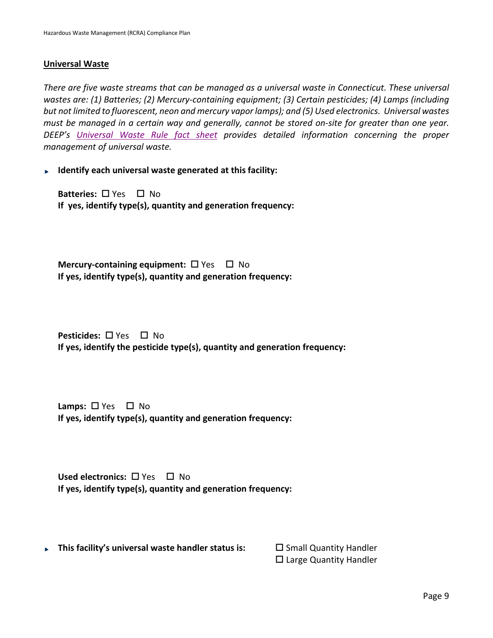#### **Universal Waste**

*There are five waste streams that can be managed as a universal waste in Connecticut. These universal wastes are: (1) Batteries; (2) Mercury-containing equipment; (3) Certain pesticides; (4) Lamps (including but not limited to fluorescent, neon and mercury vapor lamps); and (5) Used electronics. Universal wastes must be managed in a certain way and generally, cannot be stored on-site for greater than one year. DEEP's [Universal Waste Rule fact sheet](http://www.ct.gov/deep/cwp/view.asp?a=2718&q=325432&deepNav_GID=1967) provides detailed information concerning the proper management of universal waste.*

**Identify each universal waste generated at this facility:**

**Batteries:** □ Yes □ No **If yes, identify type(s), quantity and generation frequency:**

**Mercury-containing equipment:**  $\Box$  Yes  $\Box$  No **If yes, identify type(s), quantity and generation frequency:**

**Pesticides:** □ Yes □ No **If yes, identify the pesticide type(s), quantity and generation frequency:**

**Lamps:**  $\Box$  Yes  $\Box$  No **If yes, identify type(s), quantity and generation frequency:**

**Used electronics:** □ Yes □ No **If yes, identify type(s), quantity and generation frequency:**

**This facility's universal waste handler status is: Somall Quantity Handler** 

 $\square$  Large Quantity Handler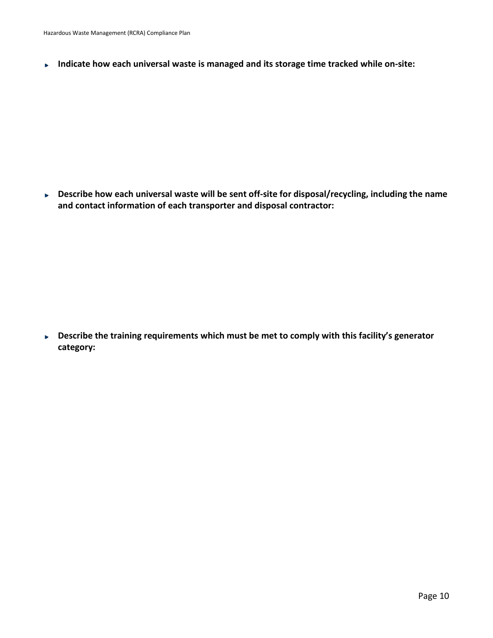**Indicate how each universal waste is managed and its storage time tracked while on-site:**  $\mathbf{p}$ 

**Describe how each universal waste will be sent off-site for disposal/recycling, including the name**   $\blacksquare$ **and contact information of each transporter and disposal contractor:**

**Describe the training requirements which must be met to comply with this facility's generator category:**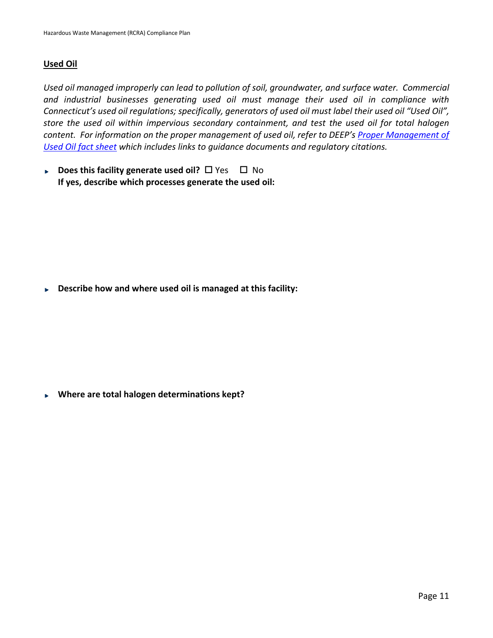# **Used Oil**

*Used oil managed improperly can lead to pollution of soil, groundwater, and surface water. Commercial and industrial businesses generating used oil must manage their used oil in compliance with Connecticut's used oil regulations; specifically, generators of used oil must label their used oil "Used Oil", store the used oil within impervious secondary containment, and test the used oil for total halogen content. For information on the proper management of used oil, refer to DEEP's [Proper Management of](http://www.ct.gov/deep/cwp/view.asp?a=2718&q=325506&deepNav_GID=1967)  [Used Oil fact sheet](http://www.ct.gov/deep/cwp/view.asp?a=2718&q=325506&deepNav_GID=1967) which includes links to guidance documents and regulatory citations.* 

**Does this facility generate used oil?**  $\Box$  Yes  $\Box$  No **If yes, describe which processes generate the used oil:**

**Describe how and where used oil is managed at this facility:**  $\mathbf{p}$ 

**Where are total halogen determinations kept?**  $\mathbf{p}$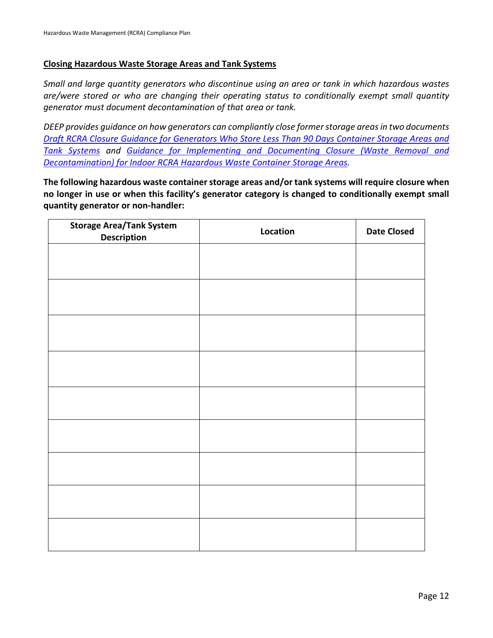### **Closing Hazardous Waste Storage Areas and Tank Systems**

*Small and large quantity generators who discontinue using an area or tank in which hazardous wastes are/were stored or who are changing their operating status to conditionally exempt small quantity generator must document decontamination of that area or tank.*

*DEEP provides guidance on how generators can compliantly close former storage areas in two documents [Draft RCRA Closure Guidance for Generators Who Store Less Than 90 Days Container Storage Areas and](http://www.ct.gov/deep/lib/deep/waste_management_and_disposal/remediation_waste/draft_rcra_guidance_less_than_90.pdf)  [Tank Systems](http://www.ct.gov/deep/lib/deep/waste_management_and_disposal/remediation_waste/draft_rcra_guidance_less_than_90.pdf) and [Guidance for Implementing and Documenting Closure \(Waste Removal and](http://www.ct.gov/deep/lib/deep/waste_management_and_disposal/hazardous_waste/guidanceforclosureofindoorhazardouswastecontainerstorageareas.pdf)  [Decontamination\) for Indoor RCRA Hazardous Waste Container Storage Areas.](http://www.ct.gov/deep/lib/deep/waste_management_and_disposal/hazardous_waste/guidanceforclosureofindoorhazardouswastecontainerstorageareas.pdf)*

**The following hazardous waste container storage areas and/or tank systems will require closure when no longer in use or when this facility's generator category is changed to conditionally exempt small quantity generator or non-handler:**

| <b>Storage Area/Tank System</b><br><b>Description</b> | Location | <b>Date Closed</b> |
|-------------------------------------------------------|----------|--------------------|
|                                                       |          |                    |
|                                                       |          |                    |
|                                                       |          |                    |
|                                                       |          |                    |
|                                                       |          |                    |
|                                                       |          |                    |
|                                                       |          |                    |
|                                                       |          |                    |
|                                                       |          |                    |
|                                                       |          |                    |
|                                                       |          |                    |
|                                                       |          |                    |
|                                                       |          |                    |
|                                                       |          |                    |
|                                                       |          |                    |
|                                                       |          |                    |
|                                                       |          |                    |
|                                                       |          |                    |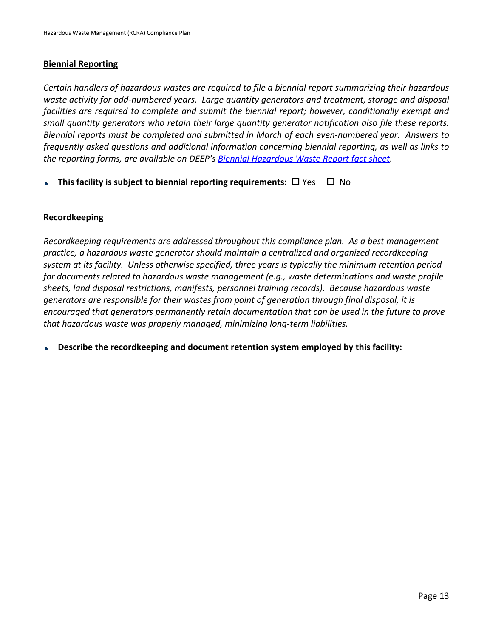### **Biennial Reporting**

*Certain handlers of [hazardous wastes](http://www.ct.gov/deep/cwp/view.asp?a=2718&q=451894&deepNAV_GID=1967) are required to file a biennial report summarizing their hazardous waste activity for odd-numbered years. Large quantity generators and treatment, storage and disposal facilities are required to complete and submit the biennial report; however, conditionally exempt and small quantity generators who retain their large quantity generator notification also file these reports. Biennial reports must be completed and submitted in March of each even-numbered year. Answers to frequently asked questions and additional information concerning biennial reporting, as well as links to the reporting forms, are available on DEEP'[s Biennial Hazardous Waste Report fact sheet.](http://www.ct.gov/deep/cwp/view.asp?A=2718&Q=325424&deepNav_GID=1967)* 

**This facility is subject to biennial reporting requirements:**  $\Box$  Yes  $\Box$  No

# **Recordkeeping**

*Recordkeeping requirements are addressed throughout this compliance plan. As a best management practice, a hazardous waste generator should maintain a centralized and organized recordkeeping system at its facility. Unless otherwise specified, three years is typically the minimum retention period for documents related to hazardous waste management (e.g., waste determinations and waste profile sheets, land disposal restrictions, manifests, personnel training records). Because hazardous waste generators are responsible for their wastes from point of generation through final disposal, it is encouraged that generators permanently retain documentation that can be used in the future to prove that hazardous waste was properly managed, minimizing long-term liabilities.*

**Describe the recordkeeping and document retention system employed by this facility:**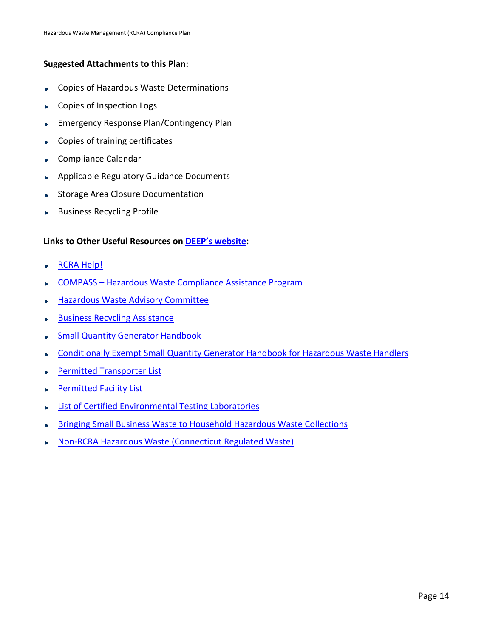# **Suggested Attachments to this Plan:**

- Copies of Hazardous Waste Determinations ь
- Copies of Inspection Logs b.
- Emergency Response Plan/Contingency Plan  $\blacksquare$
- Copies of training certificates Þ
- Compliance Calendar  $\blacktriangleright$
- Applicable Regulatory Guidance Documents  $\mathbf{b}$
- Storage Area Closure Documentation
- Business Recycling Profile

# **Links to Other Useful Resources on [DEEP's website:](http://www.ct.gov/deep/site/default.asp)**

- [RCRA Help!](http://www.ct.gov/deep/cwp/view.asp?a=2718&q=434308&deepNav_GID=1967)
- COMPASS [Hazardous Waste Compliance Assistance Program](http://www.ct.gov/deep/cwp/view.asp?a=2718&q=434404&deepNav_GID=1967)
- [Hazardous Waste Advisory Committee](http://www.ct.gov/deep/cwp/view.asp?a=2718&q=425336&deepNav_GID=1967) ь
- [Business Recycling Assistance](http://www.ct.gov/deep/cwp/view.asp?a=2714&q=324886&deepNav_GID=1645&deepNavPage=%7C) Þ
- [Small Quantity Generator Handbook](http://www.ct.gov/deep/lib/deep/compliance_assistance/manuals_guidelines/sqgguide.pdf) ь
- [Conditionally Exempt Small Quantity Generator Handbook for Hazardous Waste Handlers](http://www.ct.gov/deep/lib/deep/waste_management_and_disposal/hazardous_waste/cesqghandbook.pdf) ь
- [Permitted Transporter List](http://www.ct.gov/deep/lib/deep/waste_management_and_disposal/transporters_and_facilities/waste_transporter_list.pdf) ь
- [Permitted Facility List](http://www.ct.gov/deep/cwp/view.asp?a=2718&q=325490&deepNav_GID=1967) ь
- **[List of Certified Environmental Testing Laboratories](http://www.ct.gov/dph/cwp/view.asp?a=3140&q=387442&dphNav_GID=1828&dphPNavCtr=|%2347063%5D)** ь
- Bringing [Small Business Waste to Household Hazardous Waste Collections](http://www.ct.gov/deep/cwp/view.asp?a=2718&q=325444&deepNav_GID=1646)
- Non-[RCRA Hazardous Waste \(Connecticut Regulated Waste\)](http://www.ct.gov/deep/cwp/view.asp?a=2718&q=325428&deepNav_GID=1967)